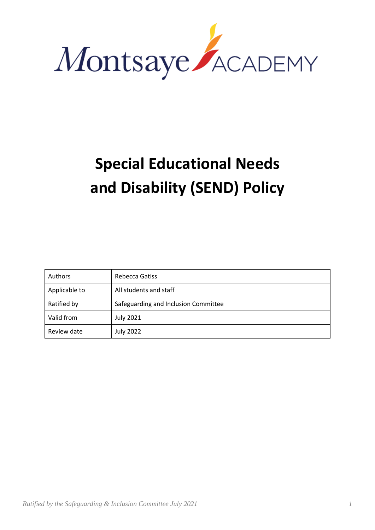

# **Special Educational Needs and Disability (SEND) Policy**

| Authors       | Rebecca Gatiss                       |
|---------------|--------------------------------------|
| Applicable to | All students and staff               |
| Ratified by   | Safeguarding and Inclusion Committee |
| Valid from    | <b>July 2021</b>                     |
| Review date   | <b>July 2022</b>                     |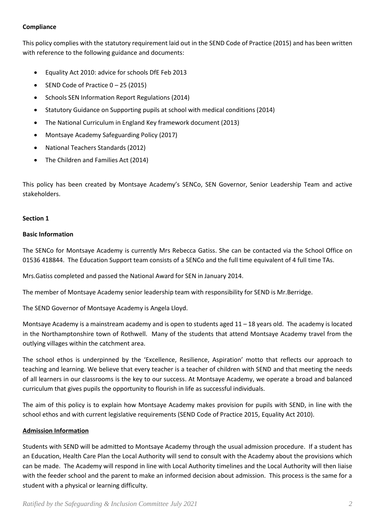## **Compliance**

This policy complies with the statutory requirement laid out in the SEND Code of Practice (2015) and has been written with reference to the following guidance and documents:

- Equality Act 2010: advice for schools DfE Feb 2013
- SEND Code of Practice 0 25 (2015)
- Schools SEN Information Report Regulations (2014)
- Statutory Guidance on Supporting pupils at school with medical conditions (2014)
- The National Curriculum in England Key framework document (2013)
- Montsaye Academy Safeguarding Policy (2017)
- National Teachers Standards (2012)
- The Children and Families Act (2014)

This policy has been created by Montsaye Academy's SENCo, SEN Governor, Senior Leadership Team and active stakeholders.

## **Section 1**

## **Basic Information**

The SENCo for Montsaye Academy is currently Mrs Rebecca Gatiss. She can be contacted via the School Office on 01536 418844. The Education Support team consists of a SENCo and the full time equivalent of 4 full time TAs.

Mrs.Gatiss completed and passed the National Award for SEN in January 2014.

The member of Montsaye Academy senior leadership team with responsibility for SEND is Mr.Berridge.

The SEND Governor of Montsaye Academy is Angela Lloyd.

Montsaye Academy is a mainstream academy and is open to students aged 11 – 18 years old. The academy is located in the Northamptonshire town of Rothwell. Many of the students that attend Montsaye Academy travel from the outlying villages within the catchment area.

The school ethos is underpinned by the 'Excellence, Resilience, Aspiration' motto that reflects our approach to teaching and learning. We believe that every teacher is a teacher of children with SEND and that meeting the needs of all learners in our classrooms is the key to our success. At Montsaye Academy, we operate a broad and balanced curriculum that gives pupils the opportunity to flourish in life as successful individuals.

The aim of this policy is to explain how Montsaye Academy makes provision for pupils with SEND, in line with the school ethos and with current legislative requirements (SEND Code of Practice 2015, Equality Act 2010).

# **Admission Information**

Students with SEND will be admitted to Montsaye Academy through the usual admission procedure. If a student has an Education, Health Care Plan the Local Authority will send to consult with the Academy about the provisions which can be made. The Academy will respond in line with Local Authority timelines and the Local Authority will then liaise with the feeder school and the parent to make an informed decision about admission. This process is the same for a student with a physical or learning difficulty.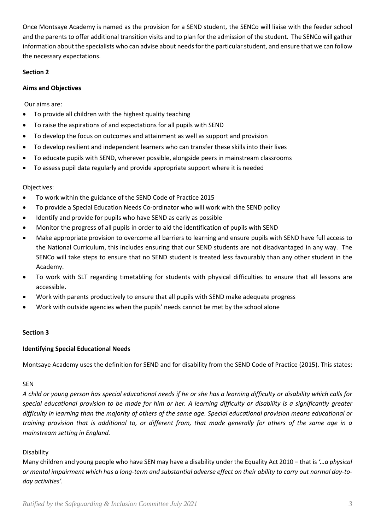Once Montsaye Academy is named as the provision for a SEND student, the SENCo will liaise with the feeder school and the parents to offer additional transition visits and to plan for the admission of the student. The SENCo will gather information about the specialists who can advise about needs for the particular student, and ensure that we can follow the necessary expectations.

## **Section 2**

## **Aims and Objectives**

Our aims are:

- To provide all children with the highest quality teaching
- To raise the aspirations of and expectations for all pupils with SEND
- To develop the focus on outcomes and attainment as well as support and provision
- To develop resilient and independent learners who can transfer these skills into their lives
- To educate pupils with SEND, wherever possible, alongside peers in mainstream classrooms
- To assess pupil data regularly and provide appropriate support where it is needed

## Objectives:

- To work within the guidance of the SEND Code of Practice 2015
- To provide a Special Education Needs Co-ordinator who will work with the SEND policy
- Identify and provide for pupils who have SEND as early as possible
- Monitor the progress of all pupils in order to aid the identification of pupils with SEND
- Make appropriate provision to overcome all barriers to learning and ensure pupils with SEND have full access to the National Curriculum, this includes ensuring that our SEND students are not disadvantaged in any way. The SENCo will take steps to ensure that no SEND student is treated less favourably than any other student in the Academy.
- To work with SLT regarding timetabling for students with physical difficulties to ensure that all lessons are accessible.
- Work with parents productively to ensure that all pupils with SEND make adequate progress
- Work with outside agencies when the pupils' needs cannot be met by the school alone

## **Section 3**

## **Identifying Special Educational Needs**

Montsaye Academy uses the definition for SEND and for disability from the SEND Code of Practice (2015). This states:

## SEN

*A child or young person has special educational needs if he or she has a learning difficulty or disability which calls for special educational provision to be made for him or her. A learning difficulty or disability is a significantly greater difficulty in learning than the majority of others of the same age. Special educational provision means educational or training provision that is additional to, or different from, that made generally for others of the same age in a mainstream setting in England.*

# Disability

Many children and young people who have SEN may have a disability under the Equality Act 2010 – that is *'…a physical or mental impairment which has a long-term and substantial adverse effect on their ability to carry out normal day-today activities'.*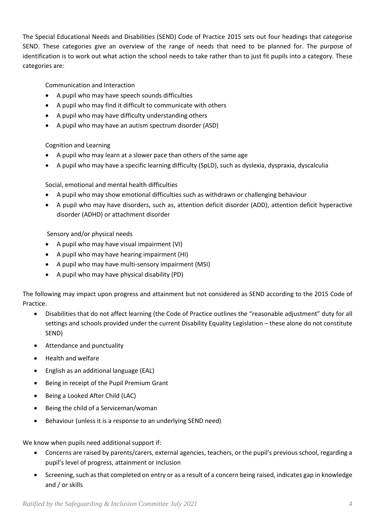The Special Educational Needs and Disabilities (SEND) Code of Practice 2015 sets out four headings that categorise SEND. These categories give an overview of the range of needs that need to be planned for. The purpose of identification is to work out what action the school needs to take rather than to just fit pupils into a category. These categories are:

Communication and Interaction

- A pupil who may have speech sounds difficulties
- A pupil who may find it difficult to communicate with others
- A pupil who may have difficulty understanding others
- A pupil who may have an autism spectrum disorder (ASD)

Cognition and Learning

- A pupil who may learn at a slower pace than others of the same age
- A pupil who may have a specific learning difficulty (SpLD), such as dyslexia, dyspraxia, dyscalculia

Social, emotional and mental health difficulties

- A pupil who may show emotional difficulties such as withdrawn or challenging behaviour
- A pupil who may have disorders, such as, attention deficit disorder (ADD), attention deficit hyperactive disorder (ADHD) or attachment disorder

Sensory and/or physical needs

- A pupil who may have visual impairment (VI)
- A pupil who may have hearing impairment (HI)
- A pupil who may have multi-sensory impairment (MSI)
- A pupil who may have physical disability (PD)

The following may impact upon progress and attainment but not considered as SEND according to the 2015 Code of Practice.

- Disabilities that do not affect learning (the Code of Practice outlines the "reasonable adjustment" duty for all settings and schools provided under the current Disability Equality Legislation – these alone do not constitute SEND)
- Attendance and punctuality
- Health and welfare
- English as an additional language (EAL)
- Being in receipt of the Pupil Premium Grant
- Being a Looked After Child (LAC)
- Being the child of a Serviceman/woman
- Behaviour (unless it is a response to an underlying SEND need)

We know when pupils need additional support if:

- Concerns are raised by parents/carers, external agencies, teachers, or the pupil's previous school, regarding a pupil's level of progress, attainment or inclusion
- Screening, such as that completed on entry or as a result of a concern being raised, indicates gap in knowledge and / or skills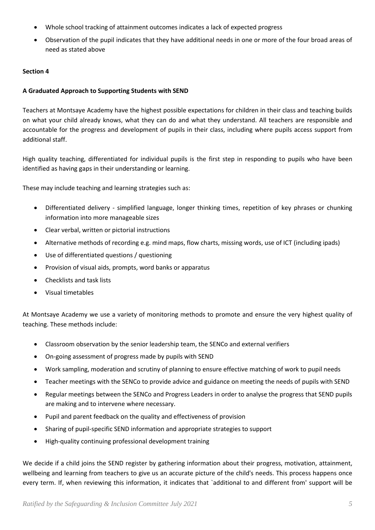- Whole school tracking of attainment outcomes indicates a lack of expected progress
- Observation of the pupil indicates that they have additional needs in one or more of the four broad areas of need as stated above

# **Section 4**

# **A Graduated Approach to Supporting Students with SEND**

Teachers at Montsaye Academy have the highest possible expectations for children in their class and teaching builds on what your child already knows, what they can do and what they understand. All teachers are responsible and accountable for the progress and development of pupils in their class, including where pupils access support from additional staff.

High quality teaching, differentiated for individual pupils is the first step in responding to pupils who have been identified as having gaps in their understanding or learning.

These may include teaching and learning strategies such as:

- Differentiated delivery simplified language, longer thinking times, repetition of key phrases or chunking information into more manageable sizes
- Clear verbal, written or pictorial instructions
- Alternative methods of recording e.g. mind maps, flow charts, missing words, use of ICT (including ipads)
- Use of differentiated questions / questioning
- Provision of visual aids, prompts, word banks or apparatus
- Checklists and task lists
- Visual timetables

At Montsaye Academy we use a variety of monitoring methods to promote and ensure the very highest quality of teaching. These methods include:

- Classroom observation by the senior leadership team, the SENCo and external verifiers
- On-going assessment of progress made by pupils with SEND
- Work sampling, moderation and scrutiny of planning to ensure effective matching of work to pupil needs
- Teacher meetings with the SENCo to provide advice and guidance on meeting the needs of pupils with SEND
- Regular meetings between the SENCo and Progress Leaders in order to analyse the progress that SEND pupils are making and to intervene where necessary.
- Pupil and parent feedback on the quality and effectiveness of provision
- Sharing of pupil-specific SEND information and appropriate strategies to support
- High-quality continuing professional development training

We decide if a child joins the SEND register by gathering information about their progress, motivation, attainment, wellbeing and learning from teachers to give us an accurate picture of the child's needs. This process happens once every term. If, when reviewing this information, it indicates that `additional to and different from' support will be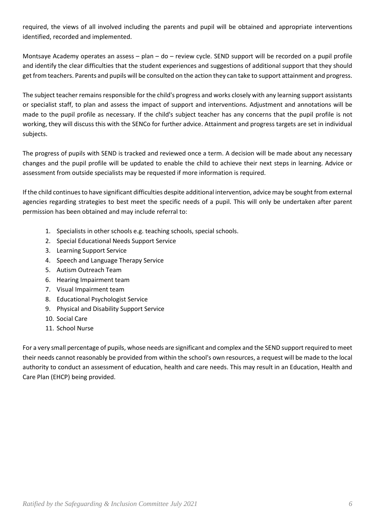required, the views of all involved including the parents and pupil will be obtained and appropriate interventions identified, recorded and implemented.

Montsaye Academy operates an assess – plan – do – review cycle. SEND support will be recorded on a pupil profile and identify the clear difficulties that the student experiences and suggestions of additional support that they should get from teachers. Parents and pupils will be consulted on the action they can take to support attainment and progress.

The subject teacher remains responsible for the child's progress and works closely with any learning support assistants or specialist staff, to plan and assess the impact of support and interventions. Adjustment and annotations will be made to the pupil profile as necessary. If the child's subject teacher has any concerns that the pupil profile is not working, they will discuss this with the SENCo for further advice. Attainment and progress targets are set in individual subjects.

The progress of pupils with SEND is tracked and reviewed once a term. A decision will be made about any necessary changes and the pupil profile will be updated to enable the child to achieve their next steps in learning. Advice or assessment from outside specialists may be requested if more information is required.

If the child continues to have significant difficulties despite additional intervention, advice may be sought from external agencies regarding strategies to best meet the specific needs of a pupil. This will only be undertaken after parent permission has been obtained and may include referral to:

- 1. Specialists in other schools e.g. teaching schools, special schools.
- 2. Special Educational Needs Support Service
- 3. Learning Support Service
- 4. Speech and Language Therapy Service
- 5. Autism Outreach Team
- 6. Hearing Impairment team
- 7. Visual Impairment team
- 8. Educational Psychologist Service
- 9. Physical and Disability Support Service
- 10. Social Care
- 11. School Nurse

For a very small percentage of pupils, whose needs are significant and complex and the SEND support required to meet their needs cannot reasonably be provided from within the school's own resources, a request will be made to the local authority to conduct an assessment of education, health and care needs. This may result in an Education, Health and Care Plan (EHCP) being provided.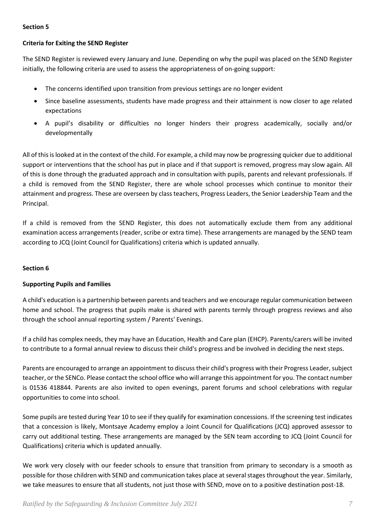## **Section 5**

## **Criteria for Exiting the SEND Register**

The SEND Register is reviewed every January and June. Depending on why the pupil was placed on the SEND Register initially, the following criteria are used to assess the appropriateness of on-going support:

- The concerns identified upon transition from previous settings are no longer evident
- Since baseline assessments, students have made progress and their attainment is now closer to age related expectations
- A pupil's disability or difficulties no longer hinders their progress academically, socially and/or developmentally

All of this is looked at in the context of the child. For example, a child may now be progressing quicker due to additional support or interventions that the school has put in place and if that support is removed, progress may slow again. All of this is done through the graduated approach and in consultation with pupils, parents and relevant professionals. If a child is removed from the SEND Register, there are whole school processes which continue to monitor their attainment and progress. These are overseen by class teachers, Progress Leaders, the Senior Leadership Team and the Principal.

If a child is removed from the SEND Register, this does not automatically exclude them from any additional examination access arrangements (reader, scribe or extra time). These arrangements are managed by the SEND team according to JCQ (Joint Council for Qualifications) criteria which is updated annually.

## **Section 6**

# **Supporting Pupils and Families**

A child's education is a partnership between parents and teachers and we encourage regular communication between home and school. The progress that pupils make is shared with parents termly through progress reviews and also through the school annual reporting system / Parents' Evenings.

If a child has complex needs, they may have an Education, Health and Care plan (EHCP). Parents/carers will be invited to contribute to a formal annual review to discuss their child's progress and be involved in deciding the next steps.

Parents are encouraged to arrange an appointment to discuss their child's progress with their Progress Leader, subject teacher, or the SENCo. Please contact the school office who will arrange this appointment for you. The contact number is 01536 418844. Parents are also invited to open evenings, parent forums and school celebrations with regular opportunities to come into school.

Some pupils are tested during Year 10 to see if they qualify for examination concessions. If the screening test indicates that a concession is likely, Montsaye Academy employ a Joint Council for Qualifications (JCQ) approved assessor to carry out additional testing. These arrangements are managed by the SEN team according to JCQ (Joint Council for Qualifications) criteria which is updated annually.

We work very closely with our feeder schools to ensure that transition from primary to secondary is a smooth as possible for those children with SEND and communication takes place at several stages throughout the year. Similarly, we take measures to ensure that all students, not just those with SEND, move on to a positive destination post-18.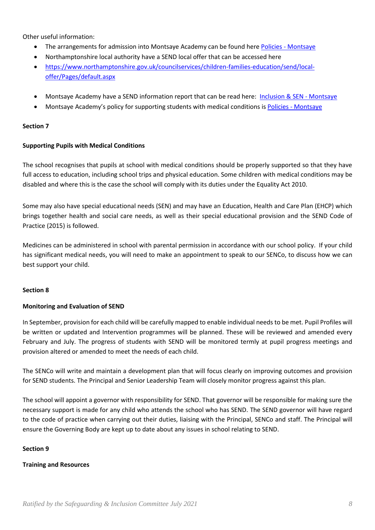Other useful information:

- The arrangements for admission into [Montsaye](https://www.montsaye.northants.sch.uk/about-us/policies-and-funding/) Academy can be found here Policies Montsaye
- Northamptonshire local authority have a SEND local offer that can be accessed here
- [https://www.northamptonshire.gov.uk/councilservices/children-families-education/send/local](https://www.northamptonshire.gov.uk/councilservices/children-families-education/send/local-offer/Pages/default.aspx)[offer/Pages/default.aspx](https://www.northamptonshire.gov.uk/councilservices/children-families-education/send/local-offer/Pages/default.aspx)
- Montsaye Academy have a SEND information report that can be read here: [Inclusion & SEN -](https://www.montsaye.northants.sch.uk/about-us/inclusion-and-sen/) Montsaye
- Montsaye Academy's policy for supporting students with medical conditions is Policies [Montsaye](https://www.montsaye.northants.sch.uk/about-us/policies-and-funding/)

## **Section 7**

## **Supporting Pupils with Medical Conditions**

The school recognises that pupils at school with medical conditions should be properly supported so that they have full access to education, including school trips and physical education. Some children with medical conditions may be disabled and where this is the case the school will comply with its duties under the Equality Act 2010.

Some may also have special educational needs (SEN) and may have an Education, Health and Care Plan (EHCP) which brings together health and social care needs, as well as their special educational provision and the SEND Code of Practice (2015) is followed.

Medicines can be administered in school with parental permission in accordance with our school policy. If your child has significant medical needs, you will need to make an appointment to speak to our SENCo, to discuss how we can best support your child.

## **Section 8**

## **Monitoring and Evaluation of SEND**

In September, provision for each child will be carefully mapped to enable individual needs to be met. Pupil Profiles will be written or updated and Intervention programmes will be planned. These will be reviewed and amended every February and July. The progress of students with SEND will be monitored termly at pupil progress meetings and provision altered or amended to meet the needs of each child.

The SENCo will write and maintain a development plan that will focus clearly on improving outcomes and provision for SEND students. The Principal and Senior Leadership Team will closely monitor progress against this plan.

The school will appoint a governor with responsibility for SEND. That governor will be responsible for making sure the necessary support is made for any child who attends the school who has SEND. The SEND governor will have regard to the code of practice when carrying out their duties, liaising with the Principal, SENCo and staff. The Principal will ensure the Governing Body are kept up to date about any issues in school relating to SEND.

## **Section 9**

## **Training and Resources**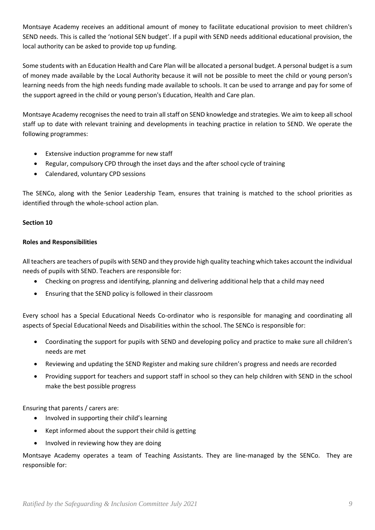Montsaye Academy receives an additional amount of money to facilitate educational provision to meet children's SEND needs. This is called the 'notional SEN budget'. If a pupil with SEND needs additional educational provision, the local authority can be asked to provide top up funding.

Some students with an Education Health and Care Plan will be allocated a personal budget. A personal budget is a sum of money made available by the Local Authority because it will not be possible to meet the child or young person's learning needs from the high needs funding made available to schools. It can be used to arrange and pay for some of the support agreed in the child or young person's Education, Health and Care plan.

Montsaye Academy recognises the need to train allstaff on SEND knowledge and strategies. We aim to keep all school staff up to date with relevant training and developments in teaching practice in relation to SEND. We operate the following programmes:

- Extensive induction programme for new staff
- Regular, compulsory CPD through the inset days and the after school cycle of training
- Calendared, voluntary CPD sessions

The SENCo, along with the Senior Leadership Team, ensures that training is matched to the school priorities as identified through the whole-school action plan.

# **Section 10**

## **Roles and Responsibilities**

All teachers are teachers of pupils with SEND and they provide high quality teaching which takes account the individual needs of pupils with SEND. Teachers are responsible for:

- Checking on progress and identifying, planning and delivering additional help that a child may need
- Ensuring that the SEND policy is followed in their classroom

Every school has a Special Educational Needs Co-ordinator who is responsible for managing and coordinating all aspects of Special Educational Needs and Disabilities within the school. The SENCo is responsible for:

- Coordinating the support for pupils with SEND and developing policy and practice to make sure all children's needs are met
- Reviewing and updating the SEND Register and making sure children's progress and needs are recorded
- Providing support for teachers and support staff in school so they can help children with SEND in the school make the best possible progress

Ensuring that parents / carers are:

- Involved in supporting their child's learning
- Kept informed about the support their child is getting
- Involved in reviewing how they are doing

Montsaye Academy operates a team of Teaching Assistants. They are line-managed by the SENCo. They are responsible for: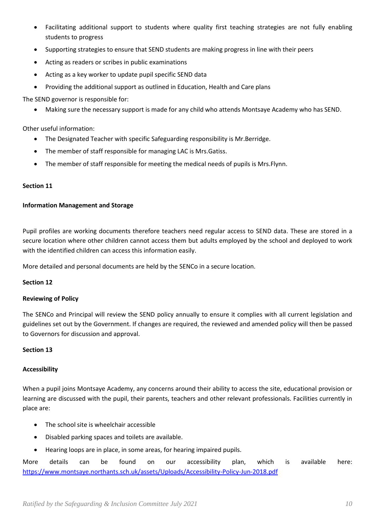- Facilitating additional support to students where quality first teaching strategies are not fully enabling students to progress
- Supporting strategies to ensure that SEND students are making progress in line with their peers
- Acting as readers or scribes in public examinations
- Acting as a key worker to update pupil specific SEND data
- Providing the additional support as outlined in Education, Health and Care plans

The SEND governor is responsible for:

• Making sure the necessary support is made for any child who attends Montsaye Academy who has SEND.

Other useful information:

- The Designated Teacher with specific Safeguarding responsibility is Mr.Berridge.
- The member of staff responsible for managing LAC is Mrs. Gatiss.
- The member of staff responsible for meeting the medical needs of pupils is Mrs. Flynn.

## **Section 11**

## **Information Management and Storage**

Pupil profiles are working documents therefore teachers need regular access to SEND data. These are stored in a secure location where other children cannot access them but adults employed by the school and deployed to work with the identified children can access this information easily.

More detailed and personal documents are held by the SENCo in a secure location.

## **Section 12**

## **Reviewing of Policy**

The SENCo and Principal will review the SEND policy annually to ensure it complies with all current legislation and guidelines set out by the Government. If changes are required, the reviewed and amended policy will then be passed to Governors for discussion and approval.

## **Section 13**

# **Accessibility**

When a pupil joins Montsaye Academy, any concerns around their ability to access the site, educational provision or learning are discussed with the pupil, their parents, teachers and other relevant professionals. Facilities currently in place are:

- The school site is wheelchair accessible
- Disabled parking spaces and toilets are available.
- Hearing loops are in place, in some areas, for hearing impaired pupils.

More details can be found on our accessibility plan, which is available here: <https://www.montsaye.northants.sch.uk/assets/Uploads/Accessibility-Policy-Jun-2018.pdf>